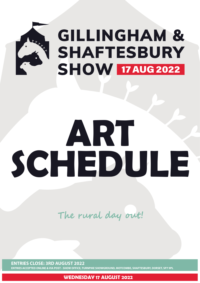

# ART SCHEDULE

The rural day out!

#### **ENTRIES CLOSE: 3RD AUGUST 2022**

**WEDNESDAY 17 AUGUST 2022**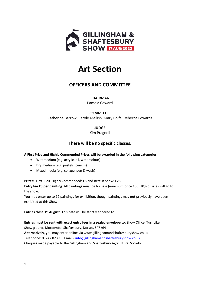

# **Art Section**

# **OFFICERS AND COMMITTEE**

#### **CHAIRMAN**

Pamela Coward

### **COMMITTEE**

Catherine Barrow, Carole Mellish, Mary Rolfe, Rebecca Edwards

**JUDGE**

Kim Pragnell

## **There will be no specific classes.**

**A First Prize and Highly Commended Prizes will be awarded in the following categories:**

- Wet medium (e.g. acrylic, oil, watercolour)
- Dry medium (e.g. pastels, pencils)
- Mixed media (e.g. collage, pen & wash)

**Prizes:** First: £20, Highly Commended: £5 and Best in Show: £25

**Entry fee £3 per painting**. All paintings must be for sale (minimum price £30) 10% of sales will go to the show.

You may enter up to 12 paintings for exhibition, though paintings may **not** previously have been exhibited at this Show.

**Entries close 3rd August.** This date will be strictly adhered to.

**Entries must be sent with exact entry fees in a sealed envelope to:** Show Office, Turnpike Showground, Motcombe, Shaftesbury, Dorset. SP7 9PL

**Alternatively**, you may enter online via www.gillinghamandshaftesburyshow.co.uk Telephone: 01747 823955 Email - [info@gillinghamandshaftesburyshow.co.uk](mailto:info@gillinghamandshaftesburyshow.co.uk) Cheques made payable to the Gillingham and Shaftesbury Agricultural Society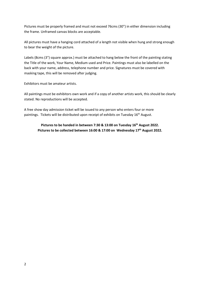Pictures must be properly framed and must not exceed 76cms (30") in either dimension including the frame. Unframed canvas blocks are acceptable.

All pictures must have a hanging cord attached of a length not visible when hung and strong enough to bear the weight of the picture.

Labels (8cms (3") square approx.) must be attached to hang below the front of the painting stating the Title of the work, Your Name, Medium used and Price. Paintings must also be labelled on the back with your name, address, telephone number and price. Signatures must be covered with masking tape, this will be removed after judging.

Exhibitors must be amateur artists.

All paintings must be exhibitors own work and if a copy of another artists work, this should be clearly stated. No reproductions will be accepted.

A free show day admission ticket will be issued to any person who enters four or more paintings. Tickets will be distributed upon receipt of exhibits on Tuesday 16<sup>th</sup> August.

> **Pictures to be handed in between 7:30 & 13:00 on Tuesday 16th August 2022. Pictures to be collected between 16:00 & 17:00 on Wednesday 17th August 2022.**